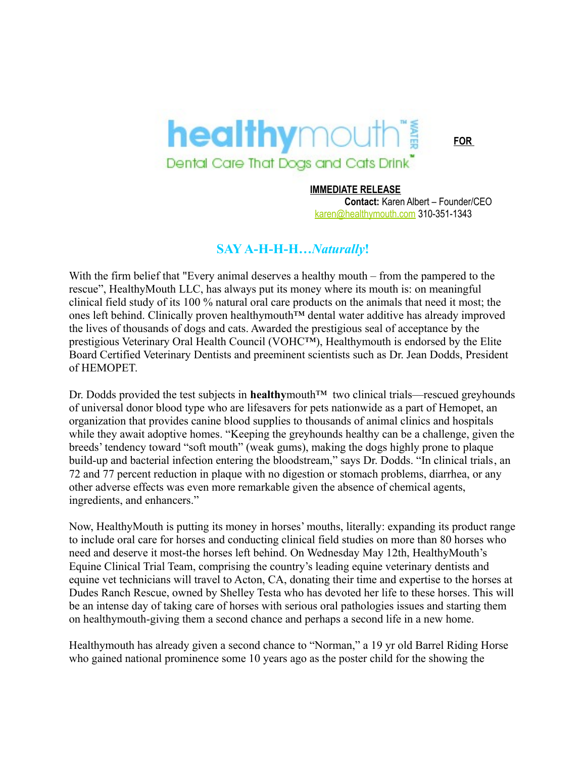## **healthy**mouth® Dental Care That Dogs and Cats Drink

**FOR**

## **IMMEDIATE RELEASE**

**Contact:** Karen Albert – Founder/CEO [karen@healthymouth.com](mailto:karen@healthymouth.com) 310-351-1343

## **SAY A-H-H-H…***Naturally***!**

With the firm belief that "Every animal deserves a healthy mouth – from the pampered to the rescue", HealthyMouth LLC, has always put its money where its mouth is: on meaningful clinical field study of its 100 % natural oral care products on the animals that need it most; the ones left behind. Clinically proven healthymouth™ dental water additive has already improved the lives of thousands of dogs and cats. Awarded the prestigious seal of acceptance by the prestigious Veterinary Oral Health Council (VOHC™), Healthymouth is endorsed by the Elite Board Certified Veterinary Dentists and preeminent scientists such as Dr. Jean Dodds, President of HEMOPET.

Dr. Dodds provided the test subjects in **healthy** mouth<sup>™</sup> two clinical trials—rescued greyhounds of universal donor blood type who are lifesavers for pets nationwide as a part of Hemopet, an organization that provides canine blood supplies to thousands of animal clinics and hospitals while they await adoptive homes. "Keeping the greyhounds healthy can be a challenge, given the breeds' tendency toward "soft mouth" (weak gums), making the dogs highly prone to plaque build-up and bacterial infection entering the bloodstream," says Dr. Dodds. "In clinical trials, an 72 and 77 percent reduction in plaque with no digestion or stomach problems, diarrhea, or any other adverse effects was even more remarkable given the absence of chemical agents, ingredients, and enhancers."

Now, HealthyMouth is putting its money in horses' mouths, literally: expanding its product range to include oral care for horses and conducting clinical field studies on more than 80 horses who need and deserve it most-the horses left behind. On Wednesday May 12th, HealthyMouth's Equine Clinical Trial Team, comprising the country's leading equine veterinary dentists and equine vet technicians will travel to Acton, CA, donating their time and expertise to the horses at Dudes Ranch Rescue, owned by Shelley Testa who has devoted her life to these horses. This will be an intense day of taking care of horses with serious oral pathologies issues and starting them on healthymouth-giving them a second chance and perhaps a second life in a new home.

Healthymouth has already given a second chance to "Norman," a 19 yr old Barrel Riding Horse who gained national prominence some 10 years ago as the poster child for the showing the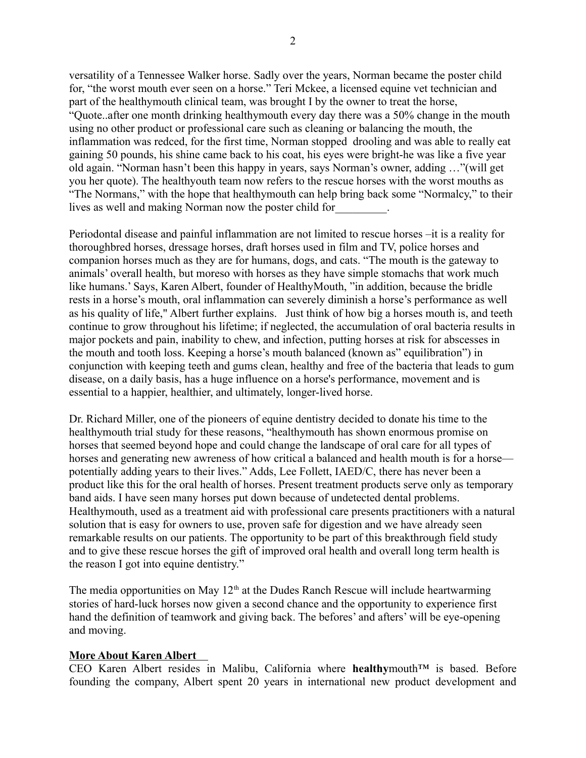versatility of a Tennessee Walker horse. Sadly over the years, Norman became the poster child for, "the worst mouth ever seen on a horse." Teri Mckee, a licensed equine vet technician and part of the healthymouth clinical team, was brought I by the owner to treat the horse, "Quote..after one month drinking healthymouth every day there was a 50% change in the mouth using no other product or professional care such as cleaning or balancing the mouth, the inflammation was redced, for the first time, Norman stopped drooling and was able to really eat gaining 50 pounds, his shine came back to his coat, his eyes were bright-he was like a five year old again. "Norman hasn't been this happy in years, says Norman's owner, adding …"(will get you her quote). The healthyouth team now refers to the rescue horses with the worst mouths as "The Normans," with the hope that healthymouth can help bring back some "Normalcy," to their lives as well and making Norman now the poster child for\_\_\_\_\_\_\_\_\_.

Periodontal disease and painful inflammation are not limited to rescue horses –it is a reality for thoroughbred horses, dressage horses, draft horses used in film and TV, police horses and companion horses much as they are for humans, dogs, and cats. "The mouth is the gateway to animals' overall health, but moreso with horses as they have simple stomachs that work much like humans.' Says, Karen Albert, founder of HealthyMouth, "in addition, because the bridle rests in a horse's mouth, oral inflammation can severely diminish a horse's performance as well as his quality of life," Albert further explains. Just think of how big a horses mouth is, and teeth continue to grow throughout his lifetime; if neglected, the accumulation of oral bacteria results in major pockets and pain, inability to chew, and infection, putting horses at risk for abscesses in the mouth and tooth loss. Keeping a horse's mouth balanced (known as" equilibration") in conjunction with keeping teeth and gums clean, healthy and free of the bacteria that leads to gum disease, on a daily basis, has a huge influence on a horse's performance, movement and is essential to a happier, healthier, and ultimately, longer-lived horse.

Dr. Richard Miller, one of the pioneers of equine dentistry decided to donate his time to the healthymouth trial study for these reasons, "healthymouth has shown enormous promise on horses that seemed beyond hope and could change the landscape of oral care for all types of horses and generating new awreness of how critical a balanced and health mouth is for a horse potentially adding years to their lives." Adds, Lee Follett, IAED/C, there has never been a product like this for the oral health of horses. Present treatment products serve only as temporary band aids. I have seen many horses put down because of undetected dental problems. Healthymouth, used as a treatment aid with professional care presents practitioners with a natural solution that is easy for owners to use, proven safe for digestion and we have already seen remarkable results on our patients. The opportunity to be part of this breakthrough field study and to give these rescue horses the gift of improved oral health and overall long term health is the reason I got into equine dentistry."

The media opportunities on May  $12<sup>th</sup>$  at the Dudes Ranch Rescue will include heartwarming stories of hard-luck horses now given a second chance and the opportunity to experience first hand the definition of teamwork and giving back. The befores' and afters' will be eye-opening and moving.

## **More About Karen Albert**

CEO Karen Albert resides in Malibu, California where **healthy**mouth™ is based. Before founding the company, Albert spent 20 years in international new product development and